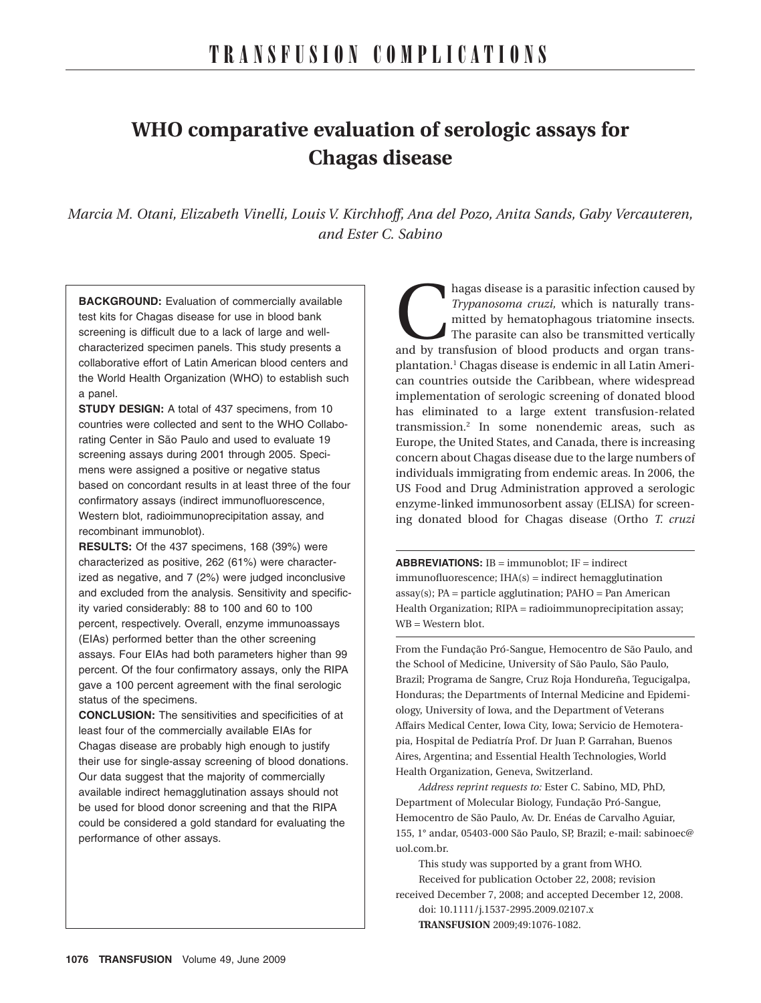# **WHO comparative evaluation of serologic assays for Chagas disease**

*Marcia M. Otani, Elizabeth Vinelli, Louis V. Kirchhoff, Ana del Pozo, Anita Sands, Gaby Vercauteren, and Ester C. Sabino*

**BACKGROUND:** Evaluation of commercially available test kits for Chagas disease for use in blood bank screening is difficult due to a lack of large and wellcharacterized specimen panels. This study presents a collaborative effort of Latin American blood centers and the World Health Organization (WHO) to establish such a panel.

**STUDY DESIGN:** A total of 437 specimens, from 10 countries were collected and sent to the WHO Collaborating Center in São Paulo and used to evaluate 19 screening assays during 2001 through 2005. Specimens were assigned a positive or negative status based on concordant results in at least three of the four confirmatory assays (indirect immunofluorescence, Western blot, radioimmunoprecipitation assay, and recombinant immunoblot).

**RESULTS:** Of the 437 specimens, 168 (39%) were characterized as positive, 262 (61%) were characterized as negative, and 7 (2%) were judged inconclusive and excluded from the analysis. Sensitivity and specificity varied considerably: 88 to 100 and 60 to 100 percent, respectively. Overall, enzyme immunoassays (EIAs) performed better than the other screening assays. Four EIAs had both parameters higher than 99 percent. Of the four confirmatory assays, only the RIPA gave a 100 percent agreement with the final serologic status of the specimens.

**CONCLUSION:** The sensitivities and specificities of at least four of the commercially available EIAs for Chagas disease are probably high enough to justify their use for single-assay screening of blood donations. Our data suggest that the majority of commercially available indirect hemagglutination assays should not be used for blood donor screening and that the RIPA could be considered a gold standard for evaluating the performance of other assays.

Anagas disease is a parasitic infection caused by *Trypanosoma cruzi*, which is naturally transmitted by hematophagous triatomine insects. The parasite can also be transmitted vertically and by transfusion of blood product *Trypanosoma cruzi,* which is naturally transmitted by hematophagous triatomine insects. The parasite can also be transmitted vertically plantation.1 Chagas disease is endemic in all Latin American countries outside the Caribbean, where widespread implementation of serologic screening of donated blood has eliminated to a large extent transfusion-related transmission.2 In some nonendemic areas, such as Europe, the United States, and Canada, there is increasing concern about Chagas disease due to the large numbers of individuals immigrating from endemic areas. In 2006, the US Food and Drug Administration approved a serologic enzyme-linked immunosorbent assay (ELISA) for screening donated blood for Chagas disease (Ortho *T. cruzi*

**ABBREVIATIONS:** IB = immunoblot; IF = indirect immunofluorescence; IHA(s) = indirect hemagglutination  $assay(s)$ ; PA = particle agglutination; PAHO = Pan American Health Organization; RIPA = radioimmunoprecipitation assay; WB = Western blot.

From the Fundação Pró-Sangue, Hemocentro de São Paulo, and the School of Medicine, University of São Paulo, São Paulo, Brazil; Programa de Sangre, Cruz Roja Hondureña, Tegucigalpa, Honduras; the Departments of Internal Medicine and Epidemiology, University of Iowa, and the Department of Veterans Affairs Medical Center, Iowa City, Iowa; Servicio de Hemoterapia, Hospital de Pediatría Prof. Dr Juan P. Garrahan, Buenos Aires, Argentina; and Essential Health Technologies, World Health Organization, Geneva, Switzerland.

*Address reprint requests to:* Ester C. Sabino, MD, PhD, Department of Molecular Biology, Fundação Pró-Sangue, Hemocentro de São Paulo, Av. Dr. Enéas de Carvalho Aguiar, 155, 1° andar, 05403-000 São Paulo, SP, Brazil; e-mail: sabinoec@ uol.com.br.

This study was supported by a grant from WHO. Received for publication October 22, 2008; revision received December 7, 2008; and accepted December 12, 2008. doi: 10.1111/j.1537-2995.2009.02107.x **TRANSFUSION** 2009;49:1076-1082.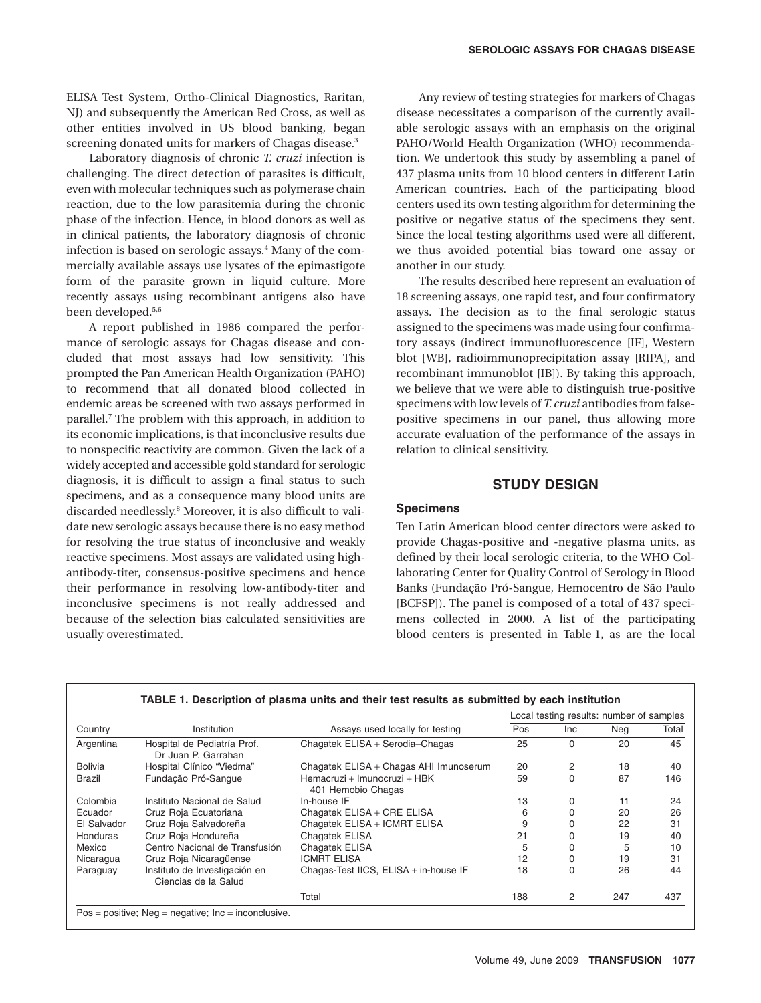ELISA Test System, Ortho-Clinical Diagnostics, Raritan, NJ) and subsequently the American Red Cross, as well as other entities involved in US blood banking, began screening donated units for markers of Chagas disease.<sup>3</sup>

Laboratory diagnosis of chronic *T. cruzi* infection is challenging. The direct detection of parasites is difficult, even with molecular techniques such as polymerase chain reaction, due to the low parasitemia during the chronic phase of the infection. Hence, in blood donors as well as in clinical patients, the laboratory diagnosis of chronic infection is based on serologic assays.<sup>4</sup> Many of the commercially available assays use lysates of the epimastigote form of the parasite grown in liquid culture. More recently assays using recombinant antigens also have been developed.<sup>5,6</sup>

A report published in 1986 compared the performance of serologic assays for Chagas disease and concluded that most assays had low sensitivity. This prompted the Pan American Health Organization (PAHO) to recommend that all donated blood collected in endemic areas be screened with two assays performed in parallel.7 The problem with this approach, in addition to its economic implications, is that inconclusive results due to nonspecific reactivity are common. Given the lack of a widely accepted and accessible gold standard for serologic diagnosis, it is difficult to assign a final status to such specimens, and as a consequence many blood units are discarded needlessly.8 Moreover, it is also difficult to validate new serologic assays because there is no easy method for resolving the true status of inconclusive and weakly reactive specimens. Most assays are validated using highantibody-titer, consensus-positive specimens and hence their performance in resolving low-antibody-titer and inconclusive specimens is not really addressed and because of the selection bias calculated sensitivities are usually overestimated.

Any review of testing strategies for markers of Chagas disease necessitates a comparison of the currently available serologic assays with an emphasis on the original PAHO/World Health Organization (WHO) recommendation. We undertook this study by assembling a panel of 437 plasma units from 10 blood centers in different Latin American countries. Each of the participating blood centers used its own testing algorithm for determining the positive or negative status of the specimens they sent. Since the local testing algorithms used were all different, we thus avoided potential bias toward one assay or another in our study.

The results described here represent an evaluation of 18 screening assays, one rapid test, and four confirmatory assays. The decision as to the final serologic status assigned to the specimens was made using four confirmatory assays (indirect immunofluorescence [IF], Western blot [WB], radioimmunoprecipitation assay [RIPA], and recombinant immunoblot [IB]). By taking this approach, we believe that we were able to distinguish true-positive specimens with low levels of *T. cruzi* antibodies from falsepositive specimens in our panel, thus allowing more accurate evaluation of the performance of the assays in relation to clinical sensitivity.

## **STUDY DESIGN**

## **Specimens**

Ten Latin American blood center directors were asked to provide Chagas-positive and -negative plasma units, as defined by their local serologic criteria, to the WHO Collaborating Center for Quality Control of Serology in Blood Banks (Fundação Pró-Sangue, Hemocentro de São Paulo [BCFSP]). The panel is composed of a total of 437 specimens collected in 2000. A list of the participating blood centers is presented in Table 1, as are the local

|                 |                                                       |                                                    | Local testing results: number of samples |             |     |       |  |
|-----------------|-------------------------------------------------------|----------------------------------------------------|------------------------------------------|-------------|-----|-------|--|
| Country         | Institution                                           | Assays used locally for testing                    | Pos                                      | <b>Inc</b>  | Neg | Total |  |
| Argentina       | Hospital de Pediatría Prof.<br>Dr Juan P. Garrahan    | Chagatek ELISA + Serodia-Chagas                    | 25                                       | $\Omega$    | 20  | 45    |  |
| Bolivia         | Hospital Clínico "Viedma"                             | Chagatek ELISA + Chagas AHI Imunoserum             | 20                                       | 2           | 18  | 40    |  |
| Brazil          | Fundação Pró-Sangue                                   | Hemacruzi + Imunocruzi + HBK<br>401 Hemobio Chagas | 59                                       | $\mathbf 0$ | 87  | 146   |  |
| Colombia        | Instituto Nacional de Salud                           | In-house IF                                        | 13                                       | 0           | 11  | 24    |  |
| Ecuador         | Cruz Roja Ecuatoriana                                 | Chagatek ELISA + CRE ELISA                         | 6                                        | $\Omega$    | 20  | 26    |  |
| El Salvador     | Cruz Roja Salvadoreña                                 | Chagatek ELISA + ICMRT ELISA                       | 9                                        | $\Omega$    | 22  | 31    |  |
| <b>Honduras</b> | Cruz Roja Hondureña                                   | Chagatek ELISA                                     | 21                                       | $\Omega$    | 19  | 40    |  |
| Mexico          | Centro Nacional de Transfusión                        | Chagatek ELISA                                     | 5                                        | $\Omega$    | 5   | 10    |  |
| Nicaragua       | Cruz Roja Nicaragüense                                | <b>ICMRT ELISA</b>                                 | 12                                       | $\Omega$    | 19  | 31    |  |
| Paraguay        | Instituto de Investigación en<br>Ciencias de la Salud | Chagas-Test IICS, ELISA + in-house IF              | 18                                       | $\Omega$    | 26  | 44    |  |
|                 |                                                       | Total                                              | 188                                      | 2           | 247 | 437   |  |

Volume 49, June 2009 **TRANSFUSION 1077**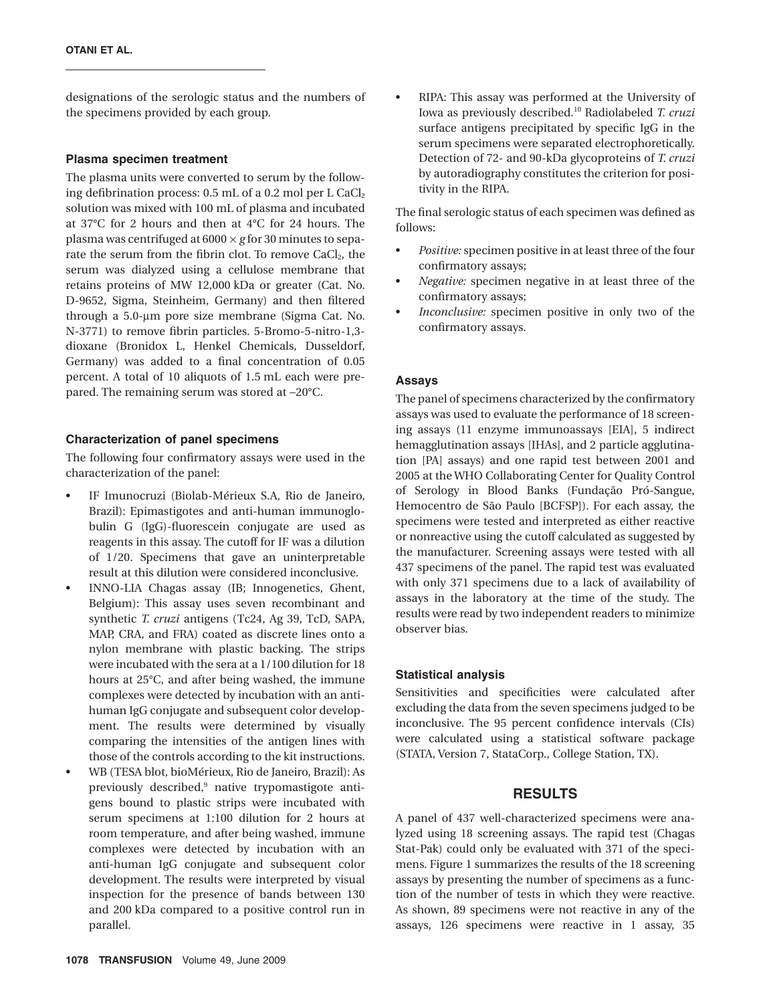designations of the serologic status and the numbers of the specimens provided by each group.

#### **Plasma specimen treatment**

The plasma units were converted to serum by the following defibrination process:  $0.5$  mL of a  $0.2$  mol per L CaCl<sub>2</sub> solution was mixed with 100 mL of plasma and incubated at 37°C for 2 hours and then at 4°C for 24 hours. The plasma was centrifuged at  $6000 \times g$  for 30 minutes to separate the serum from the fibrin clot. To remove CaCl<sub>2</sub>, the serum was dialyzed using a cellulose membrane that retains proteins of MW 12,000 kDa or greater (Cat. No. D-9652, Sigma, Steinheim, Germany) and then filtered through a 5.0-µm pore size membrane (Sigma Cat. No. N-3771) to remove fibrin particles. 5-Bromo-5-nitro-1,3 dioxane (Bronidox L, Henkel Chemicals, Dusseldorf, Germany) was added to a final concentration of 0.05 percent. A total of 10 aliquots of 1.5 mL each were prepared. The remaining serum was stored at -20°C.

#### **Characterization of panel specimens**

The following four confirmatory assays were used in the characterization of the panel:

- IF Imunocruzi (Biolab-Mérieux S.A, Rio de Janeiro, Brazil): Epimastigotes and anti-human immunoglobulin G (IgG)-fluorescein conjugate are used as reagents in this assay. The cutoff for IF was a dilution of 1/20. Specimens that gave an uninterpretable result at this dilution were considered inconclusive.
- INNO-LIA Chagas assay (IB; Innogenetics, Ghent, Belgium): This assay uses seven recombinant and synthetic *T. cruzi* antigens (Tc24, Ag 39, TcD, SAPA, MAP, CRA, and FRA) coated as discrete lines onto a nylon membrane with plastic backing. The strips were incubated with the sera at a 1/100 dilution for 18 hours at 25°C, and after being washed, the immune complexes were detected by incubation with an antihuman IgG conjugate and subsequent color development. The results were determined by visually comparing the intensities of the antigen lines with those of the controls according to the kit instructions.
- WB (TESA blot, bioMérieux, Rio de Janeiro, Brazil): As previously described,<sup>9</sup> native trypomastigote antigens bound to plastic strips were incubated with serum specimens at 1:100 dilution for 2 hours at room temperature, and after being washed, immune complexes were detected by incubation with an anti-human IgG conjugate and subsequent color development. The results were interpreted by visual inspection for the presence of bands between 130 and 200 kDa compared to a positive control run in parallel.

• RIPA: This assay was performed at the University of Iowa as previously described.10 Radiolabeled *T. cruzi* surface antigens precipitated by specific IgG in the serum specimens were separated electrophoretically. Detection of 72- and 90-kDa glycoproteins of *T. cruzi* by autoradiography constitutes the criterion for positivity in the RIPA.

The final serologic status of each specimen was defined as follows:

- *Positive:* specimen positive in at least three of the four confirmatory assays;
- *Negative:* specimen negative in at least three of the confirmatory assays;
- *Inconclusive:* specimen positive in only two of the confirmatory assays.

#### **Assays**

The panel of specimens characterized by the confirmatory assays was used to evaluate the performance of 18 screening assays (11 enzyme immunoassays [EIA], 5 indirect hemagglutination assays [IHAs], and 2 particle agglutination [PA] assays) and one rapid test between 2001 and 2005 at the WHO Collaborating Center for Quality Control of Serology in Blood Banks (Fundação Pró-Sangue, Hemocentro de São Paulo [BCFSP]). For each assay, the specimens were tested and interpreted as either reactive or nonreactive using the cutoff calculated as suggested by the manufacturer. Screening assays were tested with all 437 specimens of the panel. The rapid test was evaluated with only 371 specimens due to a lack of availability of assays in the laboratory at the time of the study. The results were read by two independent readers to minimize observer bias.

### **Statistical analysis**

Sensitivities and specificities were calculated after excluding the data from the seven specimens judged to be inconclusive. The 95 percent confidence intervals (CIs) were calculated using a statistical software package (STATA, Version 7, StataCorp., College Station, TX).

# **RESULTS**

A panel of 437 well-characterized specimens were analyzed using 18 screening assays. The rapid test (Chagas Stat-Pak) could only be evaluated with 371 of the specimens. Figure 1 summarizes the results of the 18 screening assays by presenting the number of specimens as a function of the number of tests in which they were reactive. As shown, 89 specimens were not reactive in any of the assays, 126 specimens were reactive in 1 assay, 35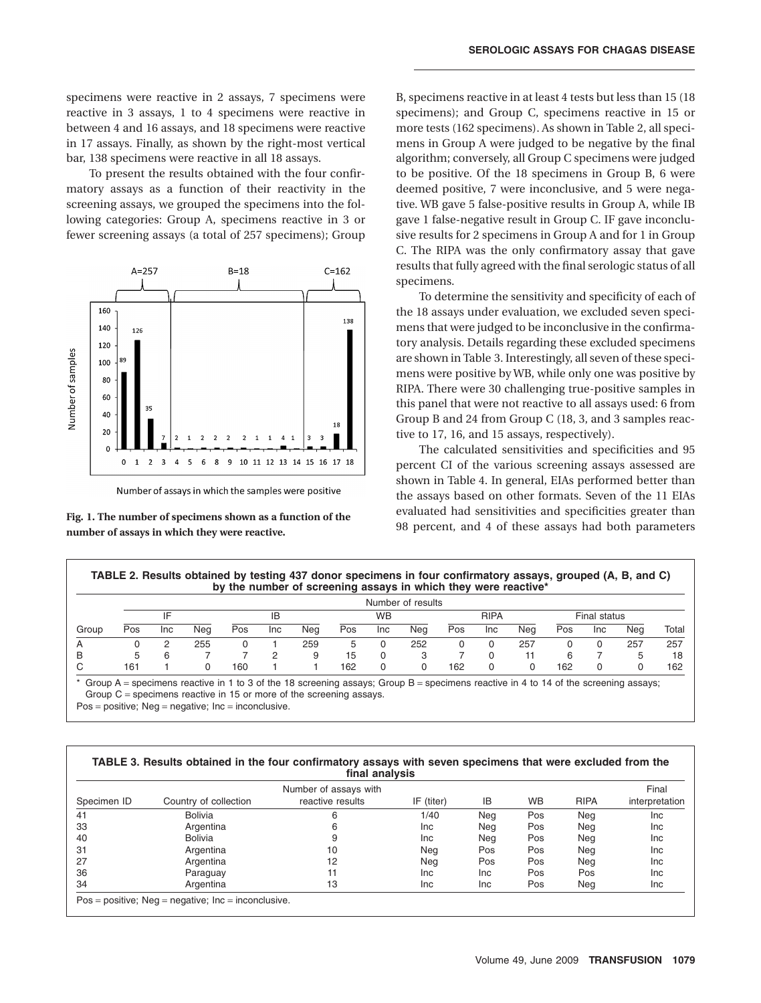specimens were reactive in 2 assays, 7 specimens were reactive in 3 assays, 1 to 4 specimens were reactive in between 4 and 16 assays, and 18 specimens were reactive in 17 assays. Finally, as shown by the right-most vertical bar, 138 specimens were reactive in all 18 assays.

To present the results obtained with the four confirmatory assays as a function of their reactivity in the screening assays, we grouped the specimens into the following categories: Group A, specimens reactive in 3 or fewer screening assays (a total of 257 specimens); Group



Number of assays in which the samples were positive

**number of assays in which they were reactive.**

B, specimens reactive in at least 4 tests but less than 15 (18 specimens); and Group C, specimens reactive in 15 or more tests (162 specimens). As shown in Table 2, all specimens in Group A were judged to be negative by the final algorithm; conversely, all Group C specimens were judged to be positive. Of the 18 specimens in Group B, 6 were deemed positive, 7 were inconclusive, and 5 were negative. WB gave 5 false-positive results in Group A, while IB gave 1 false-negative result in Group C. IF gave inconclusive results for 2 specimens in Group A and for 1 in Group C. The RIPA was the only confirmatory assay that gave results that fully agreed with the final serologic status of all specimens.

To determine the sensitivity and specificity of each of the 18 assays under evaluation, we excluded seven specimens that were judged to be inconclusive in the confirmatory analysis. Details regarding these excluded specimens are shown in Table 3. Interestingly, all seven of these specimens were positive by WB, while only one was positive by RIPA. There were 30 challenging true-positive samples in this panel that were not reactive to all assays used: 6 from Group B and 24 from Group C (18, 3, and 3 samples reactive to 17, 16, and 15 assays, respectively).

The calculated sensitivities and specificities and 95 percent CI of the various screening assays assessed are shown in Table 4. In general, EIAs performed better than the assays based on other formats. Seven of the 11 EIAs evaluated had sensitivities and specificities greater than Fig. 1. The number of specimens shown as a function of the **Fig. 1.** The number of species we had both parameters **Fig. 1.** The number of assays had both parameters **Fig. 1.** The number of assays in which they were reactiv

|                   | <b>INDEE 2. HOSURS ODIAIRO BY ICSURY TOT GORD SPOURIGES IN IOUI COMMINIQUE Y QSSUYS, SPOUPOU (A, D, QNG O)</b><br>by the number of screening assays in which they were reactive* |     |     |     |     |     |     |            |     |     |             |     |     |                     |     |       |
|-------------------|----------------------------------------------------------------------------------------------------------------------------------------------------------------------------------|-----|-----|-----|-----|-----|-----|------------|-----|-----|-------------|-----|-----|---------------------|-----|-------|
| Number of results |                                                                                                                                                                                  |     |     |     |     |     |     |            |     |     |             |     |     |                     |     |       |
|                   |                                                                                                                                                                                  |     |     |     | IB  |     |     | <b>WB</b>  |     |     | <b>RIPA</b> |     |     | <b>Final status</b> |     |       |
| Group             | Pos                                                                                                                                                                              | Inc | Nea | Pos | Inc | Nea | Pos | <b>Inc</b> | Nea | Pos | <b>Inc</b>  | Nea | Pos | Inc                 | Nea | Total |
|                   |                                                                                                                                                                                  |     | 255 |     |     | 259 |     |            | 252 |     |             | 257 |     |                     | 257 | 257   |
| в                 | b.                                                                                                                                                                               |     |     |     |     | 9   | 15  |            |     |     |             |     |     |                     |     | 18    |
|                   | 161                                                                                                                                                                              |     |     | 160 |     |     | 162 |            |     | 162 |             |     | 162 |                     |     | 162   |

**TABLE 2. Results obtained by testing 437 donor specimens in four confirmatory assays, grouped (A, B, and C)**

Group A = specimens reactive in 1 to 3 of the 18 screening assays; Group B = specimens reactive in 4 to 14 of the screening assays; Group  $C =$  specimens reactive in 15 or more of the screening assays.

Pos = positive; Neg = negative; Inc = inconclusive.

| Specimen ID | Country of collection | Number of assays with<br>reactive results | IF (titer) | IB         | <b>WB</b> | <b>RIPA</b> | Final<br>interpretation |
|-------------|-----------------------|-------------------------------------------|------------|------------|-----------|-------------|-------------------------|
| 41          | <b>Bolivia</b>        | 6                                         | 1/40       | Neg        | Pos       | Neg         | Inc                     |
| 33          | Argentina             | 6                                         | <b>Inc</b> | Neg        | Pos       | Neg         | Inc                     |
| 40          | Bolivia               | 9                                         | <b>Inc</b> | Nea        | Pos       | Neg         | Inc                     |
| 31          | Argentina             | 10                                        | Neg        | Pos        | Pos       | Neg         | Inc                     |
| 27          | Argentina             | 12                                        | Neg        | Pos        | Pos       | Neg         | Inc                     |
| 36          | Paraguay              | 11                                        | <b>Inc</b> | <b>Inc</b> | Pos       | Pos         | Inc                     |
| 34          | Argentina             | 13                                        | Inc        | <b>Inc</b> | Pos       | Neg         | Inc                     |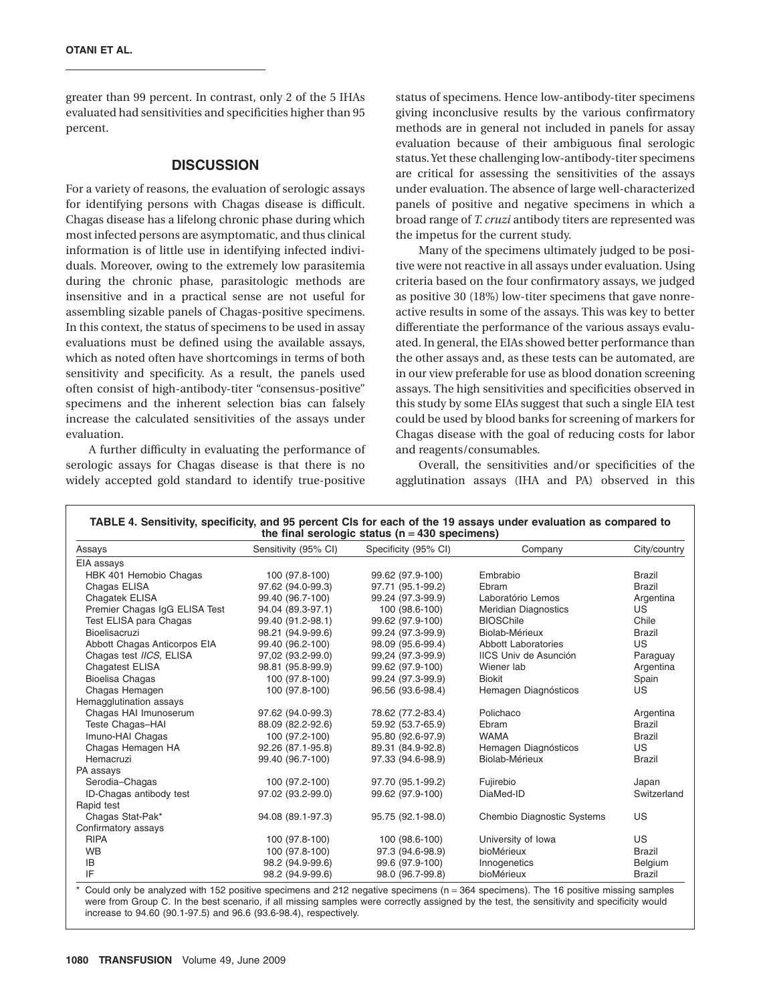greater than 99 percent. In contrast, only 2 of the 5 IHAs evaluated had sensitivities and specificities higher than 95 percent.

## **DISCUSSION**

For a variety of reasons, the evaluation of serologic assays for identifying persons with Chagas disease is difficult. Chagas disease has a lifelong chronic phase during which most infected persons are asymptomatic, and thus clinical information is of little use in identifying infected individuals. Moreover, owing to the extremely low parasitemia during the chronic phase, parasitologic methods are insensitive and in a practical sense are not useful for assembling sizable panels of Chagas-positive specimens. In this context, the status of specimens to be used in assay evaluations must be defined using the available assays, which as noted often have shortcomings in terms of both sensitivity and specificity. As a result, the panels used often consist of high-antibody-titer "consensus-positive" specimens and the inherent selection bias can falsely increase the calculated sensitivities of the assays under evaluation.

A further difficulty in evaluating the performance of serologic assays for Chagas disease is that there is no widely accepted gold standard to identify true-positive

status of specimens. Hence low-antibody-titer specimens giving inconclusive results by the various confirmatory methods are in general not included in panels for assay evaluation because of their ambiguous final serologic status. Yet these challenging low-antibody-titer specimens are critical for assessing the sensitivities of the assays under evaluation. The absence of large well-characterized panels of positive and negative specimens in which a broad range of *T. cruzi* antibody titers are represented was the impetus for the current study.

Many of the specimens ultimately judged to be positive were not reactive in all assays under evaluation. Using criteria based on the four confirmatory assays, we judged as positive 30 (18%) low-titer specimens that gave nonreactive results in some of the assays. This was key to better differentiate the performance of the various assays evaluated. In general, the EIAs showed better performance than the other assays and, as these tests can be automated, are in our view preferable for use as blood donation screening assays. The high sensitivities and specificities observed in this study by some EIAs suggest that such a single EIA test could be used by blood banks for screening of markers for Chagas disease with the goal of reducing costs for labor and reagents/consumables.

Overall, the sensitivities and/or specificities of the agglutination assays (IHA and PA) observed in this

| TABLE 4. Sensitivity, specificity, and 95 percent CIs for each of the 19 assays under evaluation as compared to |
|-----------------------------------------------------------------------------------------------------------------|
| the final serologic status ( $n = 430$ specimens)                                                               |

| Assays                        | Sensitivity (95% CI) | Specificity (95% CI) | Company                    | City/country  |
|-------------------------------|----------------------|----------------------|----------------------------|---------------|
| EIA assays                    |                      |                      |                            |               |
| HBK 401 Hemobio Chagas        | 100 (97.8-100)       | 99.62 (97.9-100)     | Embrabio                   | <b>Brazil</b> |
| Chagas ELISA                  | 97.62 (94.0-99.3)    | 97.71 (95.1-99.2)    | Ebram                      | <b>Brazil</b> |
| Chagatek ELISA                | 99.40 (96.7-100)     | 99.24 (97.3-99.9)    | Laboratório Lemos          | Argentina     |
| Premier Chagas IgG ELISA Test | 94.04 (89.3-97.1)    | 100 (98.6-100)       | Meridian Diagnostics       | US.           |
| Test ELISA para Chagas        | 99.40 (91.2-98.1)    | 99.62 (97.9-100)     | <b>BIOSChile</b>           | Chile         |
| Bioelisacruzi                 | 98.21 (94.9-99.6)    | 99.24 (97.3-99.9)    | Biolab-Mérieux             | <b>Brazil</b> |
| Abbott Chagas Anticorpos EIA  | 99.40 (96.2-100)     | 98.09 (95.6-99.4)    | <b>Abbott Laboratories</b> | US            |
| Chagas test IICS, ELISA       | 97,02 (93.2-99.0)    | 99,24 (97.3-99.9)    | IICS Univ de Asunción      | Paraguay      |
| Chagatest ELISA               | 98.81 (95.8-99.9)    | 99.62 (97.9-100)     | Wiener lab                 | Argentina     |
| <b>Bioelisa Chagas</b>        | 100 (97.8-100)       | 99.24 (97.3-99.9)    | <b>Biokit</b>              | Spain         |
| Chagas Hemagen                | 100 (97.8-100)       | 96.56 (93.6-98.4)    | Hemagen Diagnósticos       | <b>US</b>     |
| Hemagglutination assays       |                      |                      |                            |               |
| Chagas HAI Imunoserum         | 97.62 (94.0-99.3)    | 78.62 (77.2-83.4)    | Polichaco                  | Argentina     |
| Teste Chagas-HAI              | 88.09 (82.2-92.6)    | 59.92 (53.7-65.9)    | Ebram                      | <b>Brazil</b> |
| Imuno-HAI Chagas              | 100 (97.2-100)       | 95.80 (92.6-97.9)    | <b>WAMA</b>                | <b>Brazil</b> |
| Chagas Hemagen HA             | 92.26 (87.1-95.8)    | 89.31 (84.9-92.8)    | Hemagen Diagnósticos       | US.           |
| Hemacruzi                     | 99.40 (96.7-100)     | 97.33 (94.6-98.9)    | Biolab-Mérieux             | <b>Brazil</b> |
| PA assays                     |                      |                      |                            |               |
| Serodia-Chagas                | 100 (97.2-100)       | 97.70 (95.1-99.2)    | Fujirebio                  | Japan         |
| ID-Chagas antibody test       | 97.02 (93.2-99.0)    | 99.62 (97.9-100)     | DiaMed-ID                  | Switzerland   |
| Rapid test                    |                      |                      |                            |               |
| Chagas Stat-Pak*              | 94.08 (89.1-97.3)    | 95.75 (92.1-98.0)    | Chembio Diagnostic Systems | US            |
| Confirmatory assays           |                      |                      |                            |               |
| <b>RIPA</b>                   | 100 (97.8-100)       | 100 (98.6-100)       | University of Iowa         | US.           |
| <b>WB</b>                     | 100 (97.8-100)       | 97.3 (94.6-98.9)     | bioMérieux                 | <b>Brazil</b> |
| IB                            | 98.2 (94.9-99.6)     | 99.6 (97.9-100)      | Innogenetics               | Belgium       |
| IF                            | 98.2 (94.9-99.6)     | 98.0 (96.7-99.8)     | bioMérieux                 | <b>Brazil</b> |

Could only be analyzed with 152 positive specimens and 212 negative specimens ( $n = 364$  specimens). The 16 positive missing samples were from Group C. In the best scenario, if all missing samples were correctly assigned by the test, the sensitivity and specificity would increase to 94.60 (90.1-97.5) and 96.6 (93.6-98.4), respectively.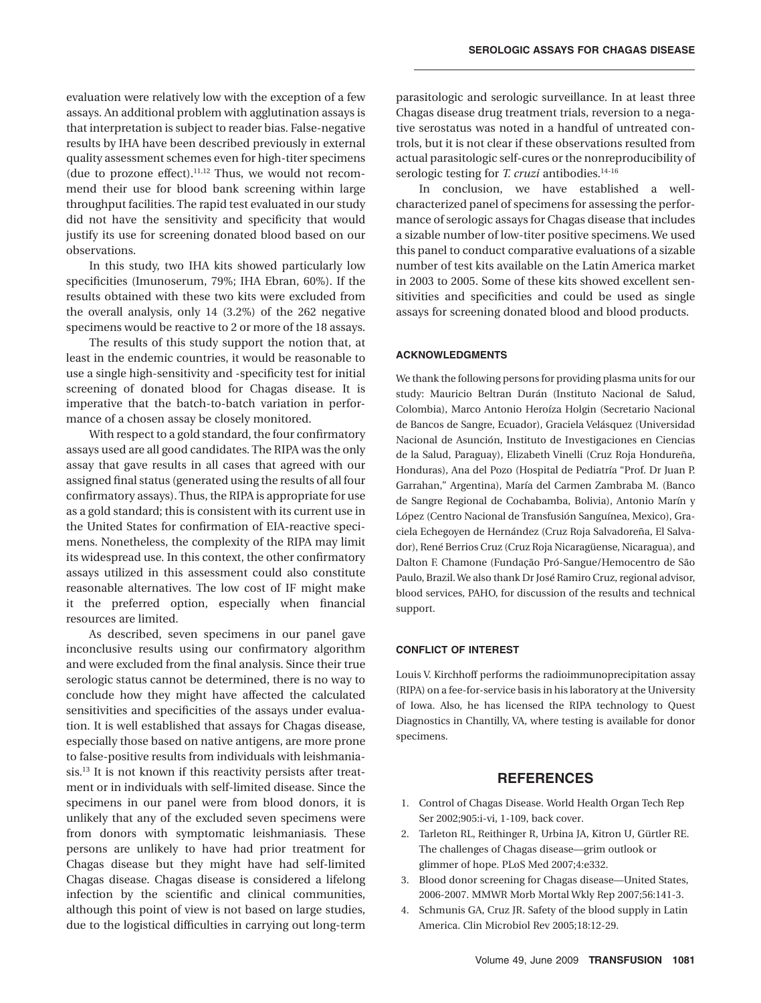evaluation were relatively low with the exception of a few assays. An additional problem with agglutination assays is that interpretation is subject to reader bias. False-negative results by IHA have been described previously in external quality assessment schemes even for high-titer specimens (due to prozone effect).<sup>11,12</sup> Thus, we would not recommend their use for blood bank screening within large throughput facilities. The rapid test evaluated in our study did not have the sensitivity and specificity that would justify its use for screening donated blood based on our observations.

In this study, two IHA kits showed particularly low specificities (Imunoserum, 79%; IHA Ebran, 60%). If the results obtained with these two kits were excluded from the overall analysis, only 14 (3.2%) of the 262 negative specimens would be reactive to 2 or more of the 18 assays.

The results of this study support the notion that, at least in the endemic countries, it would be reasonable to use a single high-sensitivity and -specificity test for initial screening of donated blood for Chagas disease. It is imperative that the batch-to-batch variation in performance of a chosen assay be closely monitored.

With respect to a gold standard, the four confirmatory assays used are all good candidates. The RIPA was the only assay that gave results in all cases that agreed with our assigned final status (generated using the results of all four confirmatory assays). Thus, the RIPA is appropriate for use as a gold standard; this is consistent with its current use in the United States for confirmation of EIA-reactive specimens. Nonetheless, the complexity of the RIPA may limit its widespread use. In this context, the other confirmatory assays utilized in this assessment could also constitute reasonable alternatives. The low cost of IF might make it the preferred option, especially when financial resources are limited.

As described, seven specimens in our panel gave inconclusive results using our confirmatory algorithm and were excluded from the final analysis. Since their true serologic status cannot be determined, there is no way to conclude how they might have affected the calculated sensitivities and specificities of the assays under evaluation. It is well established that assays for Chagas disease, especially those based on native antigens, are more prone to false-positive results from individuals with leishmaniasis.13 It is not known if this reactivity persists after treatment or in individuals with self-limited disease. Since the specimens in our panel were from blood donors, it is unlikely that any of the excluded seven specimens were from donors with symptomatic leishmaniasis. These persons are unlikely to have had prior treatment for Chagas disease but they might have had self-limited Chagas disease. Chagas disease is considered a lifelong infection by the scientific and clinical communities, although this point of view is not based on large studies, due to the logistical difficulties in carrying out long-term

parasitologic and serologic surveillance. In at least three Chagas disease drug treatment trials, reversion to a negative serostatus was noted in a handful of untreated controls, but it is not clear if these observations resulted from actual parasitologic self-cures or the nonreproducibility of serologic testing for *T. cruzi* antibodies.<sup>14-16</sup>

In conclusion, we have established a wellcharacterized panel of specimens for assessing the performance of serologic assays for Chagas disease that includes a sizable number of low-titer positive specimens. We used this panel to conduct comparative evaluations of a sizable number of test kits available on the Latin America market in 2003 to 2005. Some of these kits showed excellent sensitivities and specificities and could be used as single assays for screening donated blood and blood products.

#### **ACKNOWLEDGMENTS**

We thank the following persons for providing plasma units for our study: Mauricio Beltran Durán (Instituto Nacional de Salud, Colombia), Marco Antonio Heroíza Holgin (Secretario Nacional de Bancos de Sangre, Ecuador), Graciela Velásquez (Universidad Nacional de Asunción, Instituto de Investigaciones en Ciencias de la Salud, Paraguay), Elizabeth Vinelli (Cruz Roja Hondureña, Honduras), Ana del Pozo (Hospital de Pediatría "Prof. Dr Juan P. Garrahan," Argentina), María del Carmen Zambraba M. (Banco de Sangre Regional de Cochabamba, Bolivia), Antonio Marín y López (Centro Nacional de Transfusión Sanguínea, Mexico), Graciela Echegoyen de Hernández (Cruz Roja Salvadoreña, El Salvador), René Berrios Cruz (Cruz Roja Nicaragüense, Nicaragua), and Dalton F. Chamone (Fundação Pró-Sangue/Hemocentro de São Paulo, Brazil.We also thank Dr José Ramiro Cruz, regional advisor, blood services, PAHO, for discussion of the results and technical support.

#### **CONFLICT OF INTEREST**

Louis V. Kirchhoff performs the radioimmunoprecipitation assay (RIPA) on a fee-for-service basis in his laboratory at the University of Iowa. Also, he has licensed the RIPA technology to Quest Diagnostics in Chantilly, VA, where testing is available for donor specimens.

## **REFERENCES**

- 1. Control of Chagas Disease. World Health Organ Tech Rep Ser 2002;905:i-vi, 1-109, back cover.
- 2. Tarleton RL, Reithinger R, Urbina JA, Kitron U, Gürtler RE. The challenges of Chagas disease—grim outlook or glimmer of hope. PLoS Med 2007;4:e332.
- 3. Blood donor screening for Chagas disease—United States, 2006-2007. MMWR Morb Mortal Wkly Rep 2007;56:141-3.
- 4. Schmunis GA, Cruz JR. Safety of the blood supply in Latin America. Clin Microbiol Rev 2005;18:12-29.